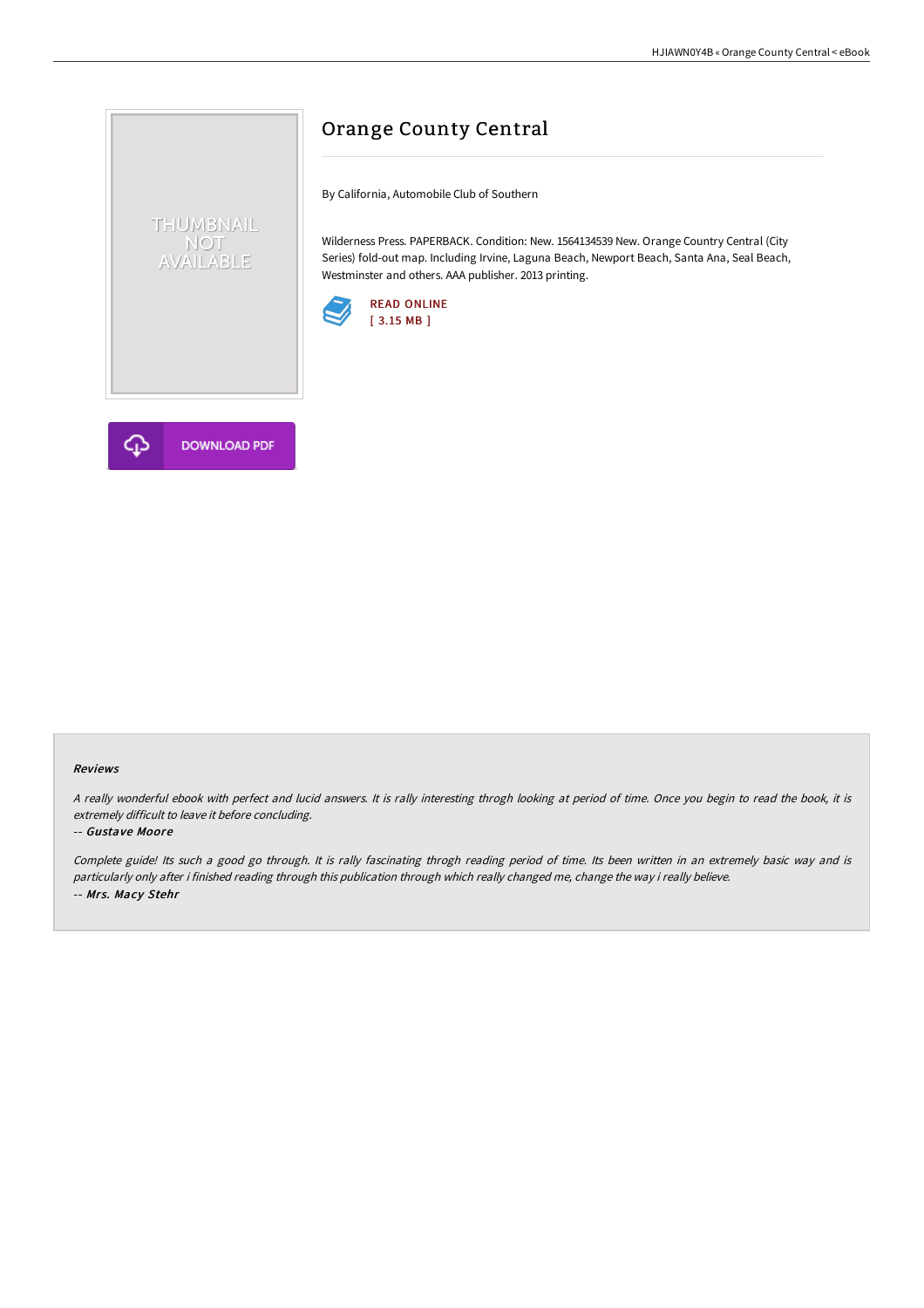

# Orange County Central

By California, Automobile Club of Southern

Wilderness Press. PAPERBACK. Condition: New. 1564134539 New. Orange Country Central (City Series) fold-out map. Including Irvine, Laguna Beach, Newport Beach, Santa Ana, Seal Beach, Westminster and others. AAA publisher. 2013 printing.





#### Reviews

<sup>A</sup> really wonderful ebook with perfect and lucid answers. It is rally interesting throgh looking at period of time. Once you begin to read the book, it is extremely difficult to leave it before concluding.

### -- Gustave Moore

Complete guide! Its such <sup>a</sup> good go through. It is rally fascinating throgh reading period of time. Its been written in an extremely basic way and is particularly only after i finished reading through this publication through which really changed me, change the way i really believe. -- Mrs. Macy Stehr